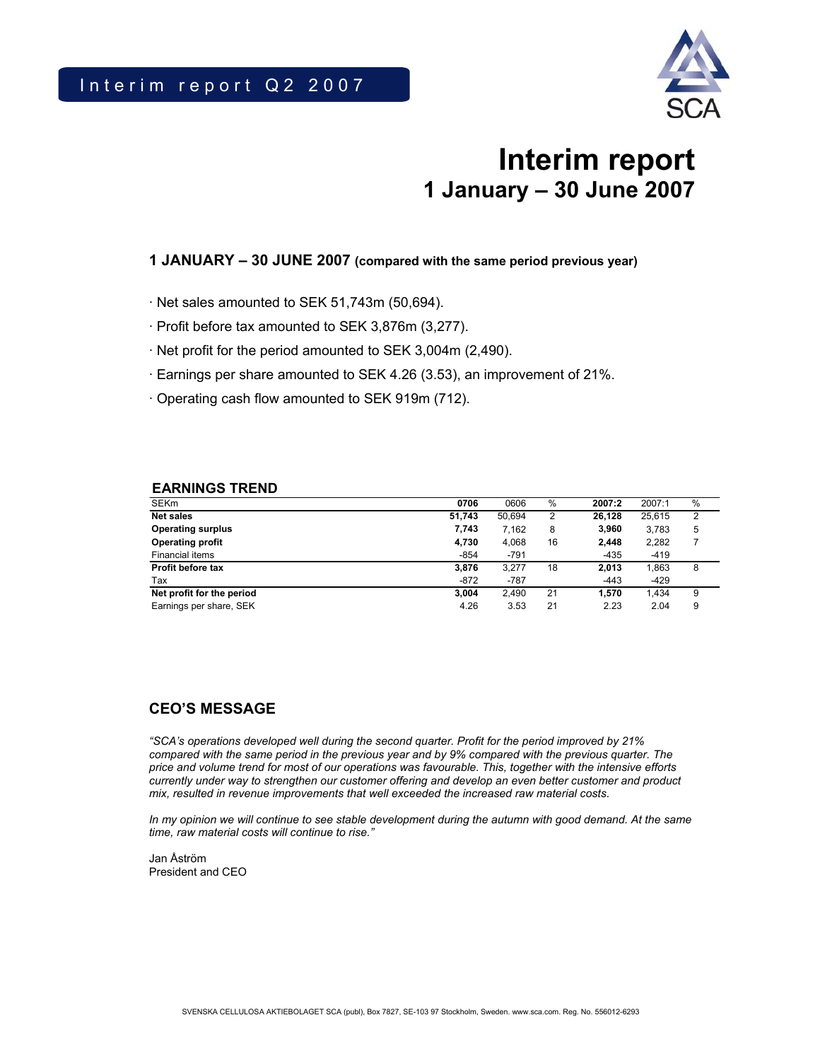

# **Interim report 1 January – 30 June 2007**

# **1 JANUARY – 30 JUNE 2007 (compared with the same period previous year)**

- · Net sales amounted to SEK 51,743m (50,694).
- · Profit before tax amounted to SEK 3,876m (3,277).
- · Net profit for the period amounted to SEK 3,004m (2,490).
- · Earnings per share amounted to SEK 4.26 (3.53), an improvement of 21%.
- · Operating cash flow amounted to SEK 919m (712).

### **EARNINGS TREND**

| <b>SEKm</b>               | 0706   | 0606   | %  | 2007:2 | 2007:1 | % |
|---------------------------|--------|--------|----|--------|--------|---|
| <b>Net sales</b>          | 51.743 | 50.694 | 2  | 26.128 | 25.615 | 2 |
| <b>Operating surplus</b>  | 7,743  | 7,162  | 8  | 3.960  | 3,783  | 5 |
| <b>Operating profit</b>   | 4,730  | 4.068  | 16 | 2.448  | 2,282  |   |
| Financial items           | $-854$ | $-791$ |    | $-435$ | $-419$ |   |
| Profit before tax         | 3.876  | 3.277  | 18 | 2.013  | 1.863  | 8 |
| Tax                       | $-872$ | $-787$ |    | $-443$ | $-429$ |   |
| Net profit for the period | 3.004  | 2.490  | 21 | 1.570  | 1.434  | 9 |
| Earnings per share, SEK   | 4.26   | 3.53   | 21 | 2.23   | 2.04   | 9 |

# **CEO'S MESSAGE**

*"SCA's operations developed well during the second quarter. Profit for the period improved by 21% compared with the same period in the previous year and by 9% compared with the previous quarter. The price and volume trend for most of our operations was favourable. This, together with the intensive efforts currently under way to strengthen our customer offering and develop an even better customer and product mix, resulted in revenue improvements that well exceeded the increased raw material costs.* 

*In my opinion we will continue to see stable development during the autumn with good demand. At the same time, raw material costs will continue to rise."* 

Jan Åström President and CEO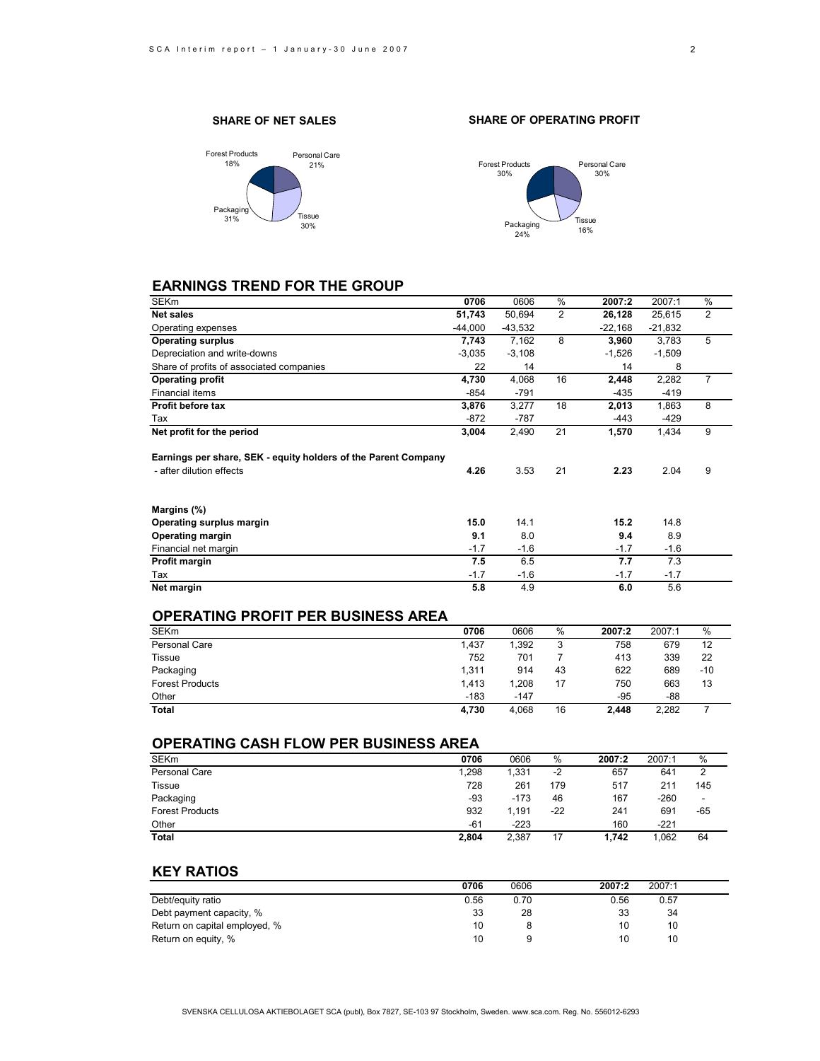### **SHARE OF NET SALES**



### **SHARE OF OPERATING PROFIT**



# **EARNINGS TREND FOR THE GROUP**

| SEKm                                                                                       | 0706      | 0606      | %  | 2007:2    | 2007:1    | %              |
|--------------------------------------------------------------------------------------------|-----------|-----------|----|-----------|-----------|----------------|
| <b>Net sales</b>                                                                           | 51,743    | 50,694    | 2  | 26,128    | 25,615    | 2              |
| Operating expenses                                                                         | $-44,000$ | $-43,532$ |    | $-22,168$ | $-21,832$ |                |
| <b>Operating surplus</b>                                                                   | 7,743     | 7,162     | 8  | 3,960     | 3,783     | 5              |
| Depreciation and write-downs                                                               | $-3,035$  | $-3,108$  |    | $-1,526$  | $-1,509$  |                |
| Share of profits of associated companies                                                   | 22        | 14        |    | 14        | 8         |                |
| <b>Operating profit</b>                                                                    | 4,730     | 4,068     | 16 | 2,448     | 2,282     | $\overline{7}$ |
| <b>Financial items</b>                                                                     | $-854$    | $-791$    |    | $-435$    | $-419$    |                |
| Profit before tax                                                                          | 3,876     | 3,277     | 18 | 2,013     | 1,863     | 8              |
| Tax                                                                                        | $-872$    | -787      |    | -443      | -429      |                |
| Net profit for the period                                                                  | 3,004     | 2,490     | 21 | 1,570     | 1,434     | 9              |
| Earnings per share, SEK - equity holders of the Parent Company<br>- after dilution effects | 4.26      | 3.53      | 21 | 2.23      | 2.04      | 9              |
| Margins (%)                                                                                |           |           |    |           |           |                |
| Operating surplus margin                                                                   | 15.0      | 14.1      |    | 15.2      | 14.8      |                |
| <b>Operating margin</b>                                                                    | 9.1       | 8.0       |    | 9.4       | 8.9       |                |
| Financial net margin                                                                       | $-1.7$    | $-1.6$    |    | $-1.7$    | $-1.6$    |                |
| Profit margin                                                                              | 7.5       | 6.5       |    | 7.7       | 7.3       |                |
| Tax                                                                                        | $-1.7$    | $-1.6$    |    | $-1.7$    | $-1.7$    |                |
| Net margin                                                                                 | 5.8       | 4.9       |    | 6.0       | 5.6       |                |
|                                                                                            |           |           |    |           |           |                |

### **OPERATING PROFIT PER BUSINESS AREA**

| <b>SEKm</b>            | 0706   | 0606   | %      | 2007:2 | 2007:1 | $\%$  |
|------------------------|--------|--------|--------|--------|--------|-------|
| Personal Care          | 1.437  | 1.392  | ີ<br>J | 758    | 679    | 12    |
| <b>Tissue</b>          | 752    | 701    |        | 413    | 339    | 22    |
| Packaging              | 1.311  | 914    | 43     | 622    | 689    | $-10$ |
| <b>Forest Products</b> | 1.413  | 1.208  | 17     | 750    | 663    | 13    |
| Other                  | $-183$ | $-147$ |        | $-95$  | -88    |       |
| <b>Total</b>           | 4.730  | 4.068  | 16     | 2.448  | 2.282  |       |

### **OPERATING CASH FLOW PER BUSINESS AREA**

| <b>SEKm</b>            | 0706  | 0606   | $\%$ | 2007:2 | 2007:1 | %   |
|------------------------|-------|--------|------|--------|--------|-----|
| Personal Care          | 1.298 | 1,331  | $-2$ | 657    | 641    |     |
| <b>Tissue</b>          | 728   | 261    | 179  | 517    | 211    | 145 |
| Packaging              | -93   | $-173$ | 46   | 167    | $-260$ |     |
| <b>Forest Products</b> | 932   | 1.191  | -22  | 241    | 691    | -65 |
| Other                  | $-61$ | $-223$ |      | 160    | $-221$ |     |
| <b>Total</b>           | 2.804 | 2.387  | 17   | 1.742  | 1.062  | 64  |

### **KEY RATIOS**

|                               | 0706 | 0606 | 2007:2 | 2007:1 |  |
|-------------------------------|------|------|--------|--------|--|
| Debt/equity ratio             | 0.56 | 0.70 | 0.56   | 0.57   |  |
| Debt payment capacity, %      | 33   | 28   | 33     | 34     |  |
| Return on capital employed, % | 10   |      | 10     | 10     |  |
| Return on equity, %           | 10   |      | 10     | 10     |  |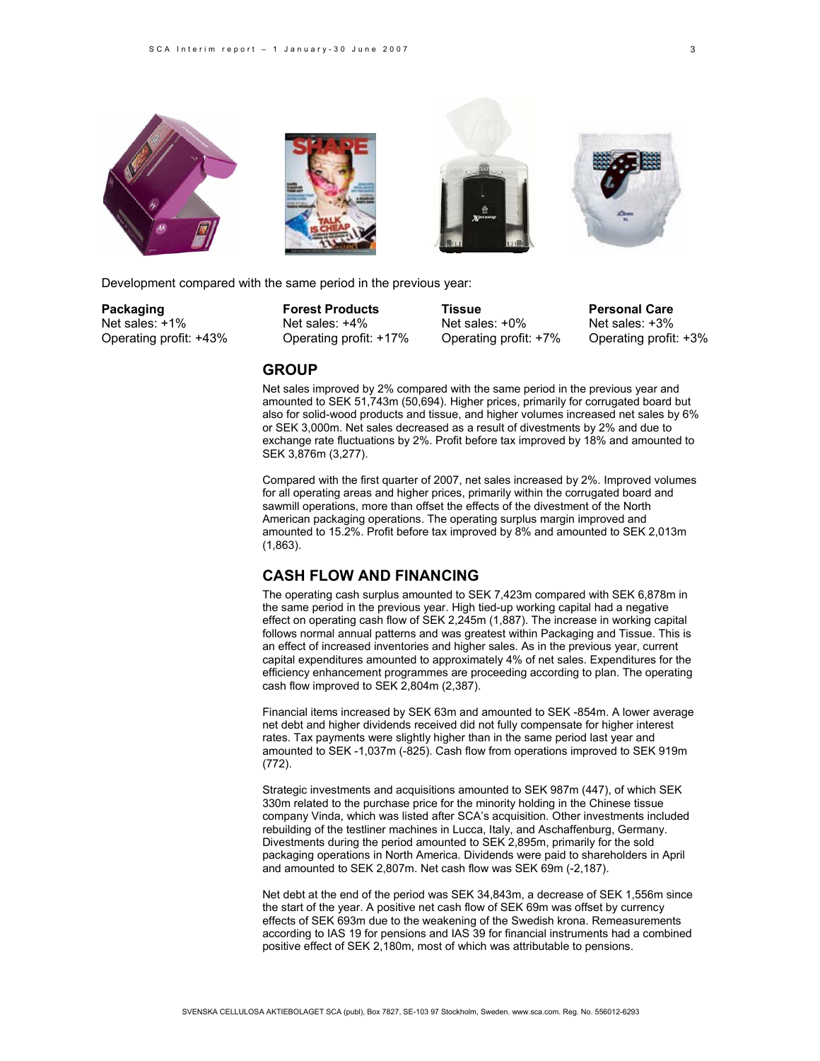







Development compared with the same period in the previous year:

**GROUP**

Net sales: +1% Net sales: +4% Net sales: +0% Net sales: +3%

Operating profit: +43% Operating profit: +17% Operating profit: +7% Operating profit: +3%

**Packaging Tissue Forest Products Tissue Personal Care** 

Net sales improved by 2% compared with the same period in the previous year and amounted to SEK 51,743m (50,694). Higher prices, primarily for corrugated board but also for solid-wood products and tissue, and higher volumes increased net sales by 6% or SEK 3,000m. Net sales decreased as a result of divestments by 2% and due to exchange rate fluctuations by 2%. Profit before tax improved by 18% and amounted to SEK 3,876m (3,277).

Compared with the first quarter of 2007, net sales increased by 2%. Improved volumes for all operating areas and higher prices, primarily within the corrugated board and sawmill operations, more than offset the effects of the divestment of the North American packaging operations. The operating surplus margin improved and amounted to 15.2%. Profit before tax improved by 8% and amounted to SEK 2,013m (1,863).

# **CASH FLOW AND FINANCING**

The operating cash surplus amounted to SEK 7,423m compared with SEK 6,878m in the same period in the previous year. High tied-up working capital had a negative effect on operating cash flow of SEK 2,245m (1,887). The increase in working capital follows normal annual patterns and was greatest within Packaging and Tissue. This is an effect of increased inventories and higher sales. As in the previous year, current capital expenditures amounted to approximately 4% of net sales. Expenditures for the efficiency enhancement programmes are proceeding according to plan. The operating cash flow improved to SEK 2,804m (2,387).

Financial items increased by SEK 63m and amounted to SEK -854m. A lower average net debt and higher dividends received did not fully compensate for higher interest rates. Tax payments were slightly higher than in the same period last year and amounted to SEK -1,037m (-825). Cash flow from operations improved to SEK 919m (772).

Strategic investments and acquisitions amounted to SEK 987m (447), of which SEK 330m related to the purchase price for the minority holding in the Chinese tissue company Vinda, which was listed after SCA's acquisition. Other investments included rebuilding of the testliner machines in Lucca, Italy, and Aschaffenburg, Germany. Divestments during the period amounted to SEK 2,895m, primarily for the sold packaging operations in North America. Dividends were paid to shareholders in April and amounted to SEK 2,807m. Net cash flow was SEK 69m (-2,187).

Net debt at the end of the period was SEK 34,843m, a decrease of SEK 1,556m since the start of the year. A positive net cash flow of SEK 69m was offset by currency effects of SEK 693m due to the weakening of the Swedish krona. Remeasurements according to IAS 19 for pensions and IAS 39 for financial instruments had a combined positive effect of SEK 2,180m, most of which was attributable to pensions.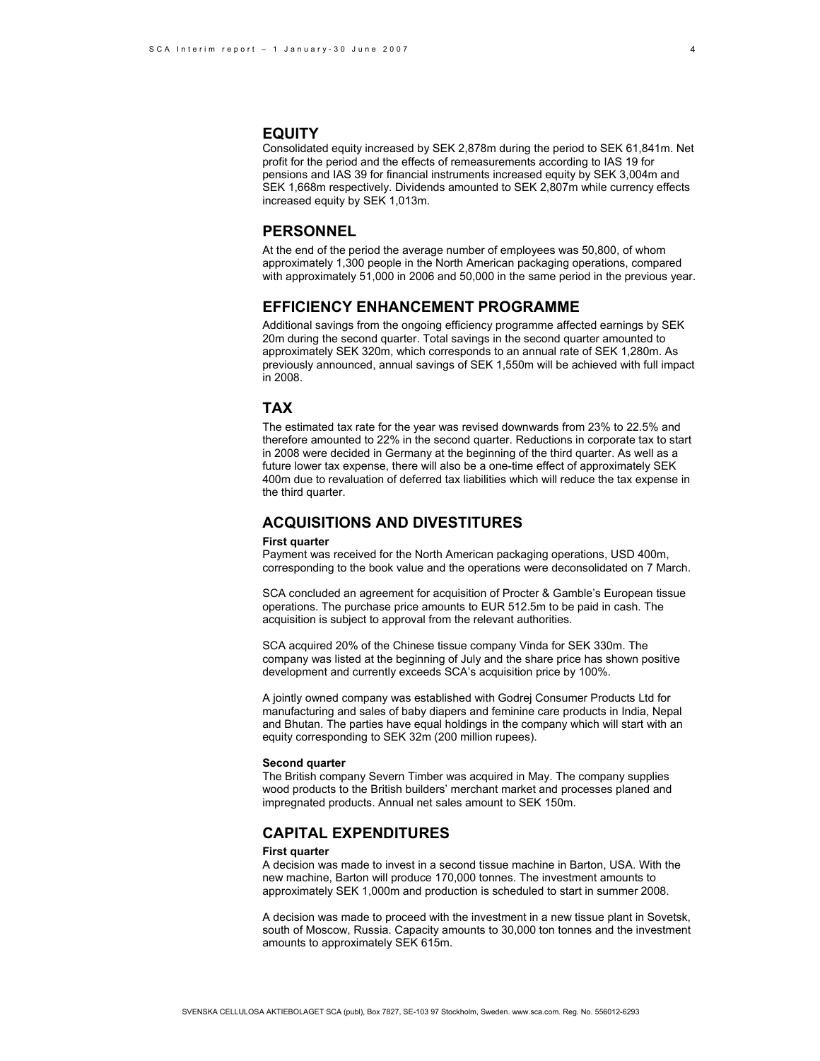### **EQUITY**

Consolidated equity increased by SEK 2,878m during the period to SEK 61,841m. Net profit for the period and the effects of remeasurements according to IAS 19 for pensions and IAS 39 for financial instruments increased equity by SEK 3,004m and SEK 1,668m respectively. Dividends amounted to SEK 2,807m while currency effects increased equity by SEK 1,013m.

### **PERSONNEL**

At the end of the period the average number of employees was 50,800, of whom approximately 1,300 people in the North American packaging operations, compared with approximately 51,000 in 2006 and 50,000 in the same period in the previous year.

# **EFFICIENCY ENHANCEMENT PROGRAMME**

Additional savings from the ongoing efficiency programme affected earnings by SEK 20m during the second quarter. Total savings in the second quarter amounted to approximately SEK 320m, which corresponds to an annual rate of SEK 1,280m. As previously announced, annual savings of SEK 1,550m will be achieved with full impact in 2008.

### **TAX**

The estimated tax rate for the year was revised downwards from 23% to 22.5% and therefore amounted to 22% in the second quarter. Reductions in corporate tax to start in 2008 were decided in Germany at the beginning of the third quarter. As well as a future lower tax expense, there will also be a one-time effect of approximately SEK 400m due to revaluation of deferred tax liabilities which will reduce the tax expense in the third quarter.

# **ACQUISITIONS AND DIVESTITURES**

#### **First quarter**

Payment was received for the North American packaging operations, USD 400m, corresponding to the book value and the operations were deconsolidated on 7 March.

SCA concluded an agreement for acquisition of Procter & Gamble's European tissue operations. The purchase price amounts to EUR 512.5m to be paid in cash. The acquisition is subject to approval from the relevant authorities.

SCA acquired 20% of the Chinese tissue company Vinda for SEK 330m. The company was listed at the beginning of July and the share price has shown positive development and currently exceeds SCA's acquisition price by 100%.

A jointly owned company was established with Godrej Consumer Products Ltd for manufacturing and sales of baby diapers and feminine care products in India, Nepal and Bhutan. The parties have equal holdings in the company which will start with an equity corresponding to SEK 32m (200 million rupees).

#### **Second quarter**

The British company Severn Timber was acquired in May. The company supplies wood products to the British builders' merchant market and processes planed and impregnated products. Annual net sales amount to SEK 150m.

# **CAPITAL EXPENDITURES**

#### **First quarter**

A decision was made to invest in a second tissue machine in Barton, USA. With the new machine, Barton will produce 170,000 tonnes. The investment amounts to approximately SEK 1,000m and production is scheduled to start in summer 2008.

A decision was made to proceed with the investment in a new tissue plant in Sovetsk, south of Moscow, Russia. Capacity amounts to 30,000 ton tonnes and the investment amounts to approximately SEK 615m.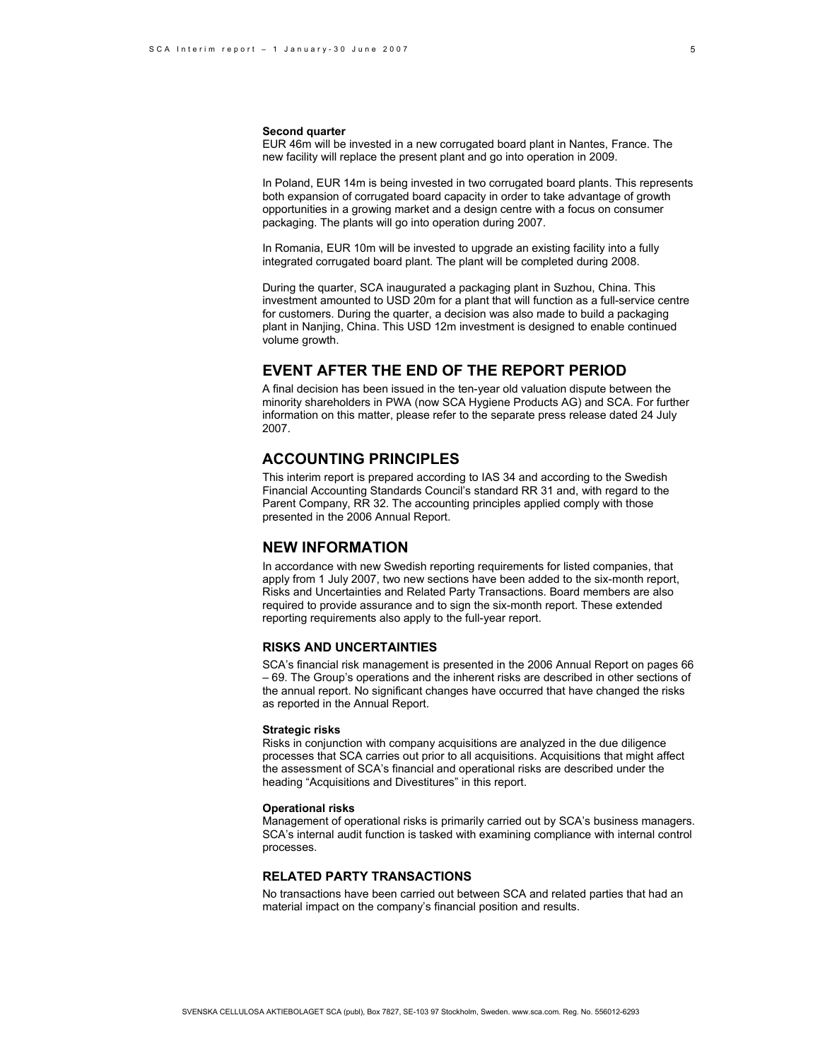#### **Second quarter**

EUR 46m will be invested in a new corrugated board plant in Nantes, France. The new facility will replace the present plant and go into operation in 2009.

In Poland, EUR 14m is being invested in two corrugated board plants. This represents both expansion of corrugated board capacity in order to take advantage of growth opportunities in a growing market and a design centre with a focus on consumer packaging. The plants will go into operation during 2007.

In Romania, EUR 10m will be invested to upgrade an existing facility into a fully integrated corrugated board plant. The plant will be completed during 2008.

During the quarter, SCA inaugurated a packaging plant in Suzhou, China. This investment amounted to USD 20m for a plant that will function as a full-service centre for customers. During the quarter, a decision was also made to build a packaging plant in Nanjing, China. This USD 12m investment is designed to enable continued volume growth.

### **EVENT AFTER THE END OF THE REPORT PERIOD**

A final decision has been issued in the ten-year old valuation dispute between the minority shareholders in PWA (now SCA Hygiene Products AG) and SCA. For further information on this matter, please refer to the separate press release dated 24 July 2007.

### **ACCOUNTING PRINCIPLES**

This interim report is prepared according to IAS 34 and according to the Swedish Financial Accounting Standards Council's standard RR 31 and, with regard to the Parent Company, RR 32. The accounting principles applied comply with those presented in the 2006 Annual Report.

# **NEW INFORMATION**

In accordance with new Swedish reporting requirements for listed companies, that apply from 1 July 2007, two new sections have been added to the six-month report, Risks and Uncertainties and Related Party Transactions. Board members are also required to provide assurance and to sign the six-month report. These extended reporting requirements also apply to the full-year report.

### **RISKS AND UNCERTAINTIES**

SCA's financial risk management is presented in the 2006 Annual Report on pages 66 – 69. The Group's operations and the inherent risks are described in other sections of the annual report. No significant changes have occurred that have changed the risks as reported in the Annual Report.

#### **Strategic risks**

Risks in conjunction with company acquisitions are analyzed in the due diligence processes that SCA carries out prior to all acquisitions. Acquisitions that might affect the assessment of SCA's financial and operational risks are described under the heading "Acquisitions and Divestitures" in this report.

#### **Operational risks**

Management of operational risks is primarily carried out by SCA's business managers. SCA's internal audit function is tasked with examining compliance with internal control processes.

### **RELATED PARTY TRANSACTIONS**

No transactions have been carried out between SCA and related parties that had an material impact on the company's financial position and results.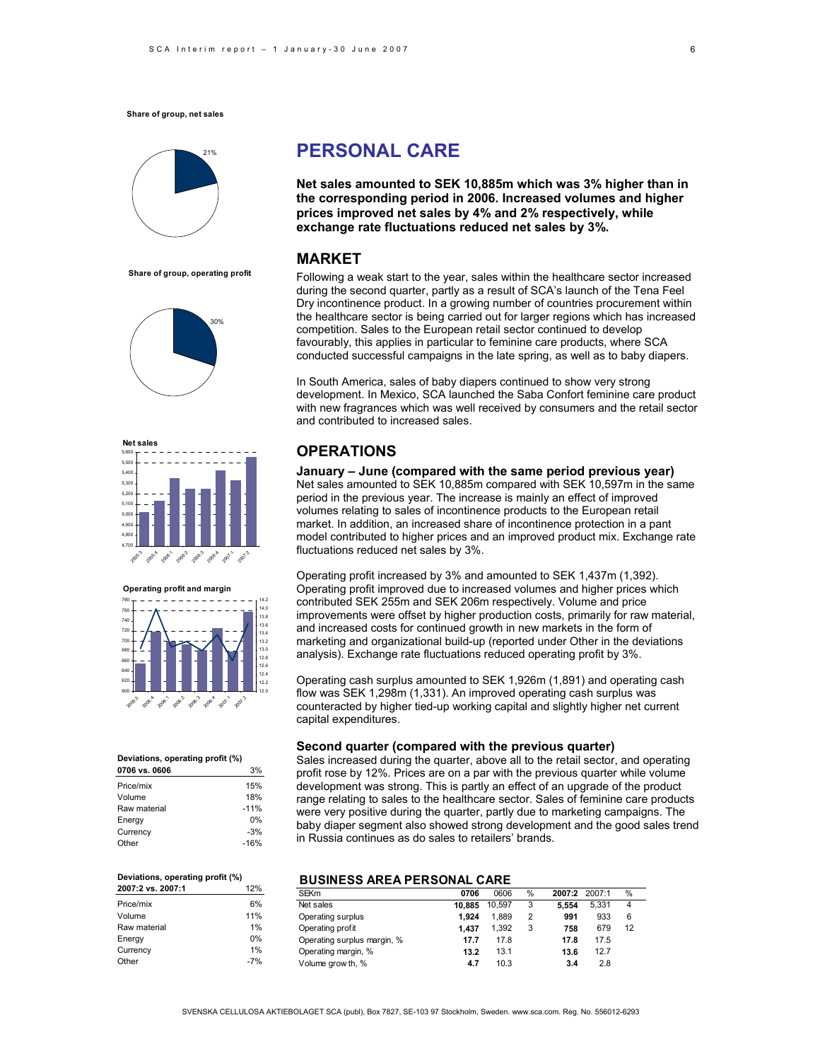

**Share of group, operating profit**







#### **Deviations, operating profit (%)**

| 0706 vs. 0606 | 3%     |
|---------------|--------|
| Price/mix     | 15%    |
| Volume        | 18%    |
| Raw material  | $-11%$ |
| Energy        | 0%     |
| Currency      | $-3%$  |
| Other         | $-16%$ |

#### **Deviations, operating profit (%) 2007:2 vs. 2007:1** 12% Price/mix 6% Volume 11%<br>Raw material 1% Raw material Energy 0% Currency 1% Other -7%

# **PERSONAL CARE**

**Net sales amounted to SEK 10,885m which was 3% higher than in the corresponding period in 2006. Increased volumes and higher prices improved net sales by 4% and 2% respectively, while exchange rate fluctuations reduced net sales by 3%.** 

## **MARKET**

Following a weak start to the year, sales within the healthcare sector increased during the second quarter, partly as a result of SCA's launch of the Tena Feel Dry incontinence product. In a growing number of countries procurement within the healthcare sector is being carried out for larger regions which has increased competition. Sales to the European retail sector continued to develop favourably, this applies in particular to feminine care products, where SCA conducted successful campaigns in the late spring, as well as to baby diapers.

In South America, sales of baby diapers continued to show very strong development. In Mexico, SCA launched the Saba Confort feminine care product with new fragrances which was well received by consumers and the retail sector and contributed to increased sales.

### **OPERATIONS**

**January – June (compared with the same period previous year)**  Net sales amounted to SEK 10,885m compared with SEK 10,597m in the same period in the previous year. The increase is mainly an effect of improved volumes relating to sales of incontinence products to the European retail market. In addition, an increased share of incontinence protection in a pant model contributed to higher prices and an improved product mix. Exchange rate fluctuations reduced net sales by 3%.

Operating profit increased by 3% and amounted to SEK 1,437m (1,392). Operating profit improved due to increased volumes and higher prices which contributed SEK 255m and SEK 206m respectively. Volume and price improvements were offset by higher production costs, primarily for raw material, and increased costs for continued growth in new markets in the form of marketing and organizational build-up (reported under Other in the deviations analysis). Exchange rate fluctuations reduced operating profit by 3%.

Operating cash surplus amounted to SEK 1,926m (1,891) and operating cash flow was SEK 1,298m (1,331). An improved operating cash surplus was counteracted by higher tied-up working capital and slightly higher net current capital expenditures.

### **Second quarter (compared with the previous quarter)**

Sales increased during the quarter, above all to the retail sector, and operating profit rose by 12%. Prices are on a par with the previous quarter while volume development was strong. This is partly an effect of an upgrade of the product range relating to sales to the healthcare sector. Sales of feminine care products were very positive during the quarter, partly due to marketing campaigns. The baby diaper segment also showed strong development and the good sales trend in Russia continues as do sales to retailers' brands.

### **BUSINESS AREA PERSONAL CARE**

| <b>SEKm</b>                 | 0706   | 0606   | % | 2007:2 | 2007:1 | %              |
|-----------------------------|--------|--------|---|--------|--------|----------------|
| Net sales                   | 10.885 | 10.597 | 3 | 5.554  | 5.331  | $\overline{4}$ |
| Operating surplus           | 1.924  | 1.889  | 2 | 991    | 933    | 6              |
| Operating profit            | 1.437  | 1.392  | 3 | 758    | 679    | 12             |
| Operating surplus margin, % | 17.7   | 17.8   |   | 17.8   | 17.5   |                |
| Operating margin, %         | 13.2   | 13.1   |   | 13.6   | 12.7   |                |
| Volume grow th, %           | 4.7    | 10.3   |   | 3.4    | 2.8    |                |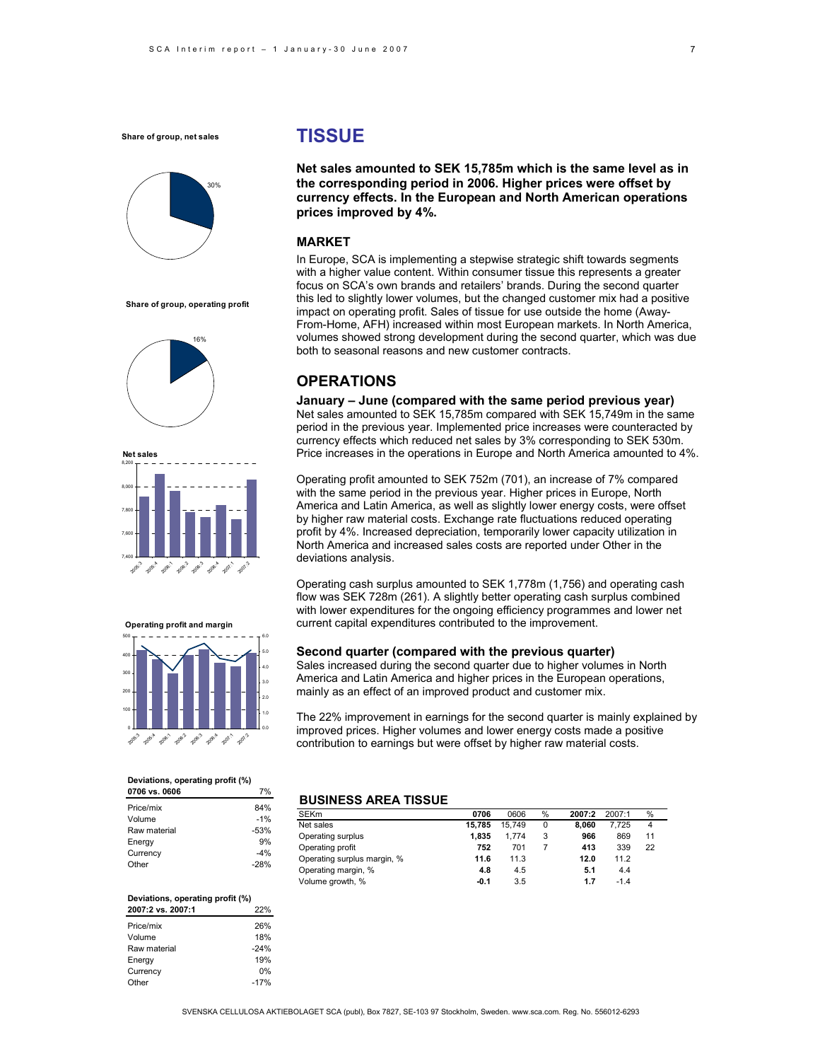

**Share of group, operating profit**







#### **Deviations, operating profit (%) 0706 vs. 0606** 7%

| Price/mix    | 84%    |
|--------------|--------|
| Volume       | $-1%$  |
| Raw material | $-53%$ |
| Energy       | 9%     |
| Currency     | $-4%$  |
| Other        | $-28%$ |

### **Deviations, operating profit (%)**

| 2007:2 vs. 2007:1 | 22%    |
|-------------------|--------|
| Price/mix         | 26%    |
| Volume            | 18%    |
| Raw material      | $-24%$ |
| Energy            | 19%    |
| Currency          | 0%     |
| Other             | $-17%$ |

# **TISSUE**

**Net sales amounted to SEK 15,785m which is the same level as in the corresponding period in 2006. Higher prices were offset by currency effects. In the European and North American operations prices improved by 4%.** 

### **MARKET**

In Europe, SCA is implementing a stepwise strategic shift towards segments with a higher value content. Within consumer tissue this represents a greater focus on SCA's own brands and retailers' brands. During the second quarter this led to slightly lower volumes, but the changed customer mix had a positive impact on operating profit. Sales of tissue for use outside the home (Away-From-Home, AFH) increased within most European markets. In North America, volumes showed strong development during the second quarter, which was due both to seasonal reasons and new customer contracts.

# **OPERATIONS**

**January – June (compared with the same period previous year)**  Net sales amounted to SEK 15,785m compared with SEK 15,749m in the same period in the previous year. Implemented price increases were counteracted by currency effects which reduced net sales by 3% corresponding to SEK 530m. Price increases in the operations in Europe and North America amounted to 4%.

Operating profit amounted to SEK 752m (701), an increase of 7% compared with the same period in the previous year. Higher prices in Europe, North America and Latin America, as well as slightly lower energy costs, were offset by higher raw material costs. Exchange rate fluctuations reduced operating profit by 4%. Increased depreciation, temporarily lower capacity utilization in North America and increased sales costs are reported under Other in the deviations analysis.

Operating cash surplus amounted to SEK 1,778m (1,756) and operating cash flow was SEK 728m (261). A slightly better operating cash surplus combined with lower expenditures for the ongoing efficiency programmes and lower net current capital expenditures contributed to the improvement.

### **Second quarter (compared with the previous quarter)**

Sales increased during the second quarter due to higher volumes in North America and Latin America and higher prices in the European operations, mainly as an effect of an improved product and customer mix.

The 22% improvement in earnings for the second quarter is mainly explained by improved prices. Higher volumes and lower energy costs made a positive contribution to earnings but were offset by higher raw material costs.

#### **BUSINESS AREA TISSUE**

| <b>SEKm</b>                 | 0706   | 0606   | % | 2007:2 | 2007:1 | $\%$ |
|-----------------------------|--------|--------|---|--------|--------|------|
| Net sales                   | 15.785 | 15.749 | 0 | 8.060  | 7.725  | 4    |
| Operating surplus           | 1.835  | 1.774  | 3 | 966    | 869    | 11   |
| Operating profit            | 752    | 701    |   | 413    | 339    | 22   |
| Operating surplus margin, % | 11.6   | 11.3   |   | 12.0   | 11.2   |      |
| Operating margin, %         | 4.8    | 4.5    |   | 5.1    | 4.4    |      |
| Volume growth, %            | $-0.1$ | 3.5    |   | 1.7    | $-1.4$ |      |

7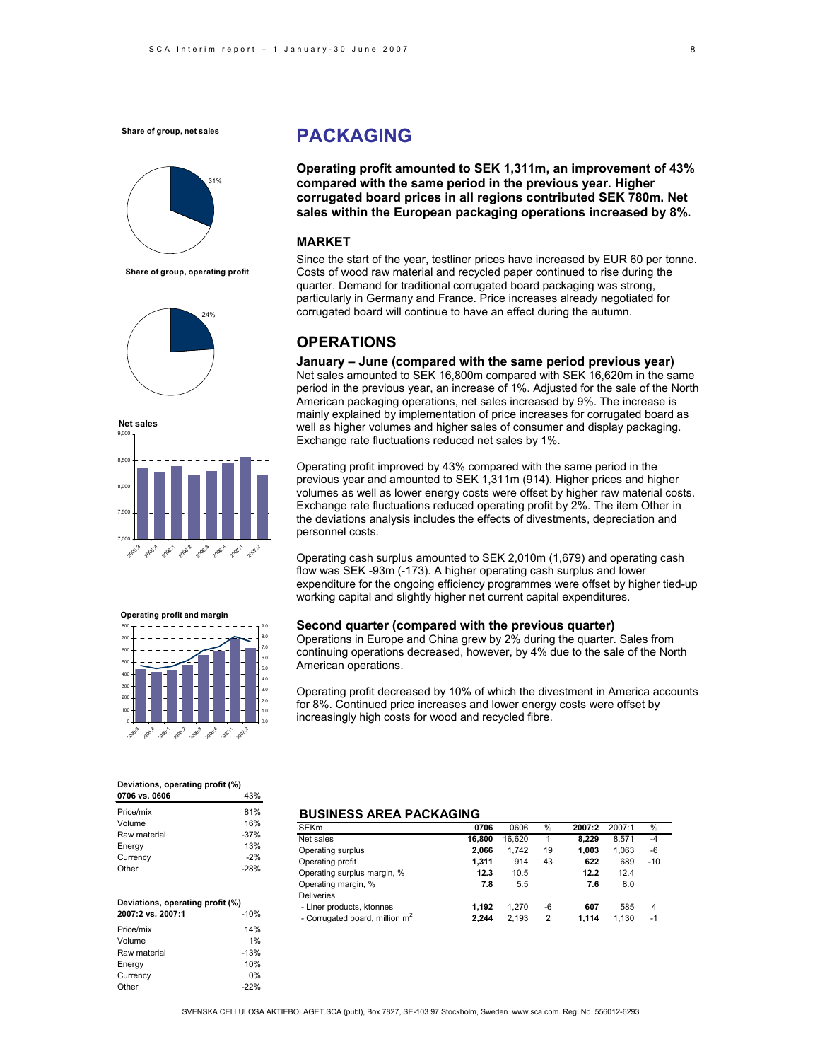

**Share of group, operating profit**







#### **Deviations, operating profit (%)**

| 0706 vs. 0606 | 43%    |
|---------------|--------|
| Price/mix     | 81%    |
| Volume        | 16%    |
| Raw material  | $-37%$ |
| Energy        | 13%    |
| Currency      | $-2%$  |
| Other         | $-28%$ |

| Deviations, operating profit (%) |        |  |  |  |
|----------------------------------|--------|--|--|--|
| 2007:2 vs. 2007:1                | $-10%$ |  |  |  |
| Price/mix                        | 14%    |  |  |  |
| Volume                           | 1%     |  |  |  |
| Raw material                     | $-13%$ |  |  |  |
| Energy                           | 10%    |  |  |  |
| Currency                         | በ%     |  |  |  |
| Other                            | $-22%$ |  |  |  |

# **PACKAGING**

**Operating profit amounted to SEK 1,311m, an improvement of 43% compared with the same period in the previous year. Higher corrugated board prices in all regions contributed SEK 780m. Net sales within the European packaging operations increased by 8%.** 

### **MARKET**

Since the start of the year, testliner prices have increased by EUR 60 per tonne. Costs of wood raw material and recycled paper continued to rise during the quarter. Demand for traditional corrugated board packaging was strong, particularly in Germany and France. Price increases already negotiated for corrugated board will continue to have an effect during the autumn.

# **OPERATIONS**

**January – June (compared with the same period previous year)**  Net sales amounted to SEK 16,800m compared with SEK 16,620m in the same period in the previous year, an increase of 1%. Adjusted for the sale of the North American packaging operations, net sales increased by 9%. The increase is mainly explained by implementation of price increases for corrugated board as well as higher volumes and higher sales of consumer and display packaging. Exchange rate fluctuations reduced net sales by 1%.

Operating profit improved by 43% compared with the same period in the previous year and amounted to SEK 1,311m (914). Higher prices and higher volumes as well as lower energy costs were offset by higher raw material costs. Exchange rate fluctuations reduced operating profit by 2%. The item Other in the deviations analysis includes the effects of divestments, depreciation and personnel costs.

Operating cash surplus amounted to SEK 2,010m (1,679) and operating cash flow was SEK -93m (-173). A higher operating cash surplus and lower expenditure for the ongoing efficiency programmes were offset by higher tied-up working capital and slightly higher net current capital expenditures.

### **Second quarter (compared with the previous quarter)**

Operations in Europe and China grew by 2% during the quarter. Sales from continuing operations decreased, however, by 4% due to the sale of the North American operations.

Operating profit decreased by 10% of which the divestment in America accounts for 8%. Continued price increases and lower energy costs were offset by increasingly high costs for wood and recycled fibre.

### **BUSINESS AREA PACKAGING**

| SEKm                                       | 0706   | 0606   | %  | 2007:2 | 2007:1 | %     |  |
|--------------------------------------------|--------|--------|----|--------|--------|-------|--|
| Net sales                                  | 16.800 | 16.620 | 1  | 8.229  | 8.571  | $-4$  |  |
| Operating surplus                          | 2.066  | 1.742  | 19 | 1.003  | 1.063  | -6    |  |
| Operating profit                           | 1.311  | 914    | 43 | 622    | 689    | $-10$ |  |
| Operating surplus margin, %                | 12.3   | 10.5   |    | 12.2   | 12.4   |       |  |
| Operating margin, %                        | 7.8    | 5.5    |    | 7.6    | 8.0    |       |  |
| Deliveries                                 |        |        |    |        |        |       |  |
| - Liner products, ktonnes                  | 1.192  | 1.270  | -6 | 607    | 585    | 4     |  |
| - Corrugated board, million m <sup>2</sup> | 2.244  | 2.193  | 2  | 1.114  | 1.130  | $-1$  |  |
|                                            |        |        |    |        |        |       |  |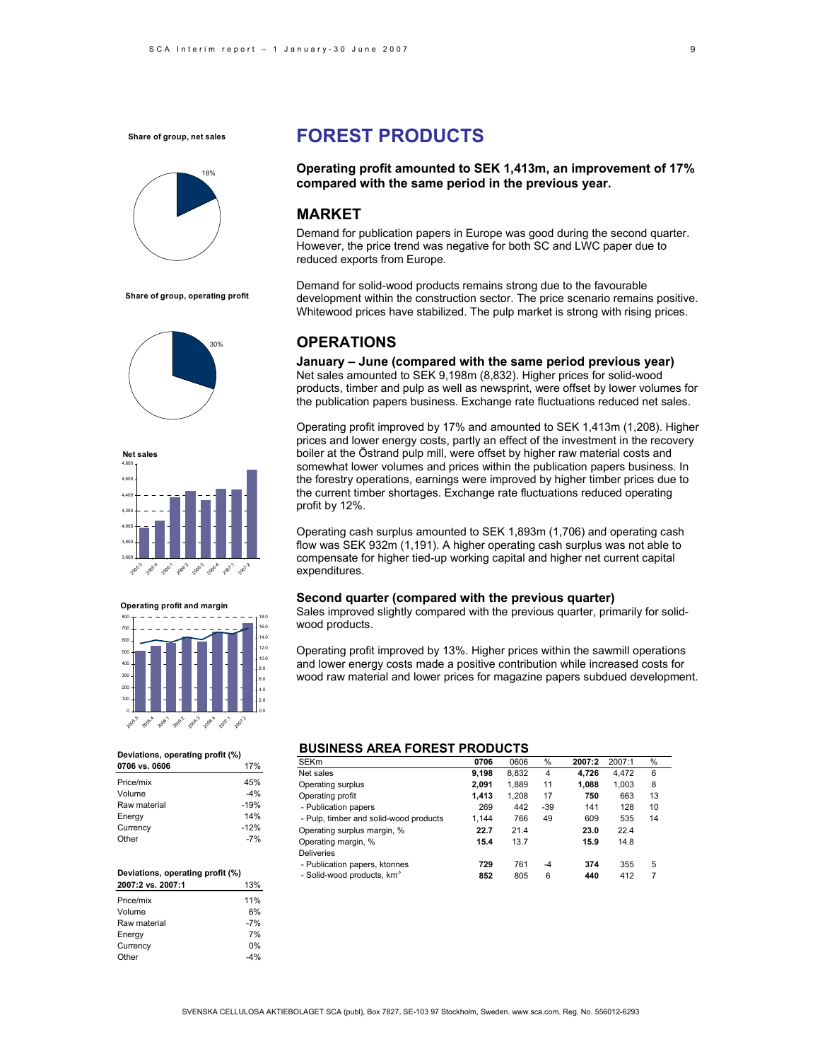

**Share of group, operating profit**





**Operating profit and margin**



#### **Deviations, operating profit (%)**

| 0706 vs. 0606 | 17%    |
|---------------|--------|
| Price/mix     | 45%    |
| Volume        | $-4%$  |
| Raw material  | $-19%$ |
| Energy        | 14%    |
| Currency      | $-12%$ |
| Other         | $-7%$  |
|               |        |

#### **Deviations, operating profit (%) 2007:2 vs. 2007:1** 13%

| Price/mix    | 11%   |
|--------------|-------|
| Volume       | 6%    |
| Raw material | $-7%$ |
| Energy       | 7%    |
| Currency     | 0%    |
| Other        | -4%   |

# **FOREST PRODUCTS**

**Operating profit amounted to SEK 1,413m, an improvement of 17% compared with the same period in the previous year.** 

# **MARKET**

Demand for publication papers in Europe was good during the second quarter. However, the price trend was negative for both SC and LWC paper due to reduced exports from Europe.

Demand for solid-wood products remains strong due to the favourable development within the construction sector. The price scenario remains positive. Whitewood prices have stabilized. The pulp market is strong with rising prices.

# **OPERATIONS**

**January – June (compared with the same period previous year)**  Net sales amounted to SEK 9,198m (8,832). Higher prices for solid-wood products, timber and pulp as well as newsprint, were offset by lower volumes for the publication papers business. Exchange rate fluctuations reduced net sales.

Operating profit improved by 17% and amounted to SEK 1,413m (1,208). Higher prices and lower energy costs, partly an effect of the investment in the recovery boiler at the Östrand pulp mill, were offset by higher raw material costs and somewhat lower volumes and prices within the publication papers business. In the forestry operations, earnings were improved by higher timber prices due to the current timber shortages. Exchange rate fluctuations reduced operating profit by 12%.

Operating cash surplus amounted to SEK 1,893m (1,706) and operating cash flow was SEK 932m (1,191). A higher operating cash surplus was not able to compensate for higher tied-up working capital and higher net current capital expenditures.

### **Second quarter (compared with the previous quarter)**

Sales improved slightly compared with the previous quarter, primarily for solidwood products.

Operating profit improved by 13%. Higher prices within the sawmill operations and lower energy costs made a positive contribution while increased costs for wood raw material and lower prices for magazine papers subdued development.

### **BUSINESS AREA FOREST PRODUCTS**

| <b>SEKm</b>                            | 0706  | 0606  | %    | 2007:2 | 2007:1 | %  |  |
|----------------------------------------|-------|-------|------|--------|--------|----|--|
| Net sales                              | 9,198 | 8,832 | 4    | 4.726  | 4.472  | 6  |  |
| Operating surplus                      | 2.091 | 1.889 | 11   | 1.088  | 1.003  | 8  |  |
| Operating profit                       | 1.413 | 1.208 | 17   | 750    | 663    | 13 |  |
| - Publication papers                   | 269   | 442   | -39  | 141    | 128    | 10 |  |
| - Pulp, timber and solid-wood products | 1.144 | 766   | 49   | 609    | 535    | 14 |  |
| Operating surplus margin, %            | 22.7  | 21.4  |      | 23.0   | 22.4   |    |  |
| Operating margin, %                    | 15.4  | 13.7  |      | 15.9   | 14.8   |    |  |
| <b>Deliveries</b>                      |       |       |      |        |        |    |  |
| - Publication papers, ktonnes          | 729   | 761   | $-4$ | 374    | 355    | 5  |  |
| - Solid-wood products, km <sup>3</sup> | 852   | 805   | 6    | 440    | 412    | 7  |  |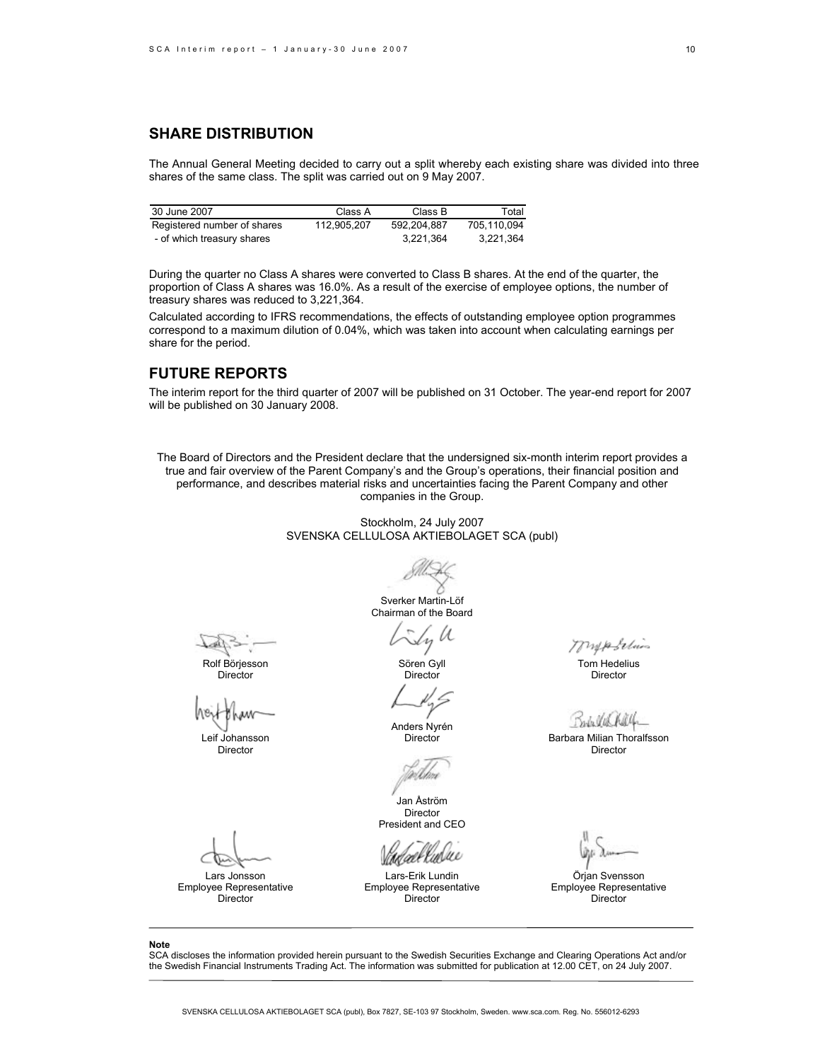# **SHARE DISTRIBUTION**

The Annual General Meeting decided to carry out a split whereby each existing share was divided into three shares of the same class. The split was carried out on 9 May 2007.

| 30 June 2007                | Class A     | Class B     | Total       |
|-----------------------------|-------------|-------------|-------------|
| Registered number of shares | 112.905.207 | 592.204.887 | 705.110.094 |
| - of which treasury shares  |             | 3,221,364   | 3.221.364   |

During the quarter no Class A shares were converted to Class B shares. At the end of the quarter, the proportion of Class A shares was 16.0%. As a result of the exercise of employee options, the number of treasury shares was reduced to 3,221,364.

Calculated according to IFRS recommendations, the effects of outstanding employee option programmes correspond to a maximum dilution of 0.04%, which was taken into account when calculating earnings per share for the period.

### **FUTURE REPORTS**

The interim report for the third quarter of 2007 will be published on 31 October. The year-end report for 2007 will be published on 30 January 2008.

The Board of Directors and the President declare that the undersigned six-month interim report provides a true and fair overview of the Parent Company's and the Group's operations, their financial position and performance, and describes material risks and uncertainties facing the Parent Company and other companies in the Group.

> Stockholm, 24 July 2007 SVENSKA CELLULOSA AKTIEBOLAGET SCA (publ)

> > Sverker Martin-Löf

Rolf Börjesson Director

Leif Johansson Director

Lars Jonsson Employee Representative Director

Sly U

Chairman of the Board

Sören Gyll **Director** 

Anders Nyrén

V.B

Jan Åström Director President and CEO

Lars-Erik Lundin Employee Representative Director

mypolices

Tom Hedelius Director

Babyles

Director **Barbara Milian Thoralfsson** Director

Örjan Svensson Employee Representative Director

**Note** 

SCA discloses the information provided herein pursuant to the Swedish Securities Exchange and Clearing Operations Act and/or the Swedish Financial Instruments Trading Act. The information was submitted for publication at 12.00 CET, on 24 July 2007.

10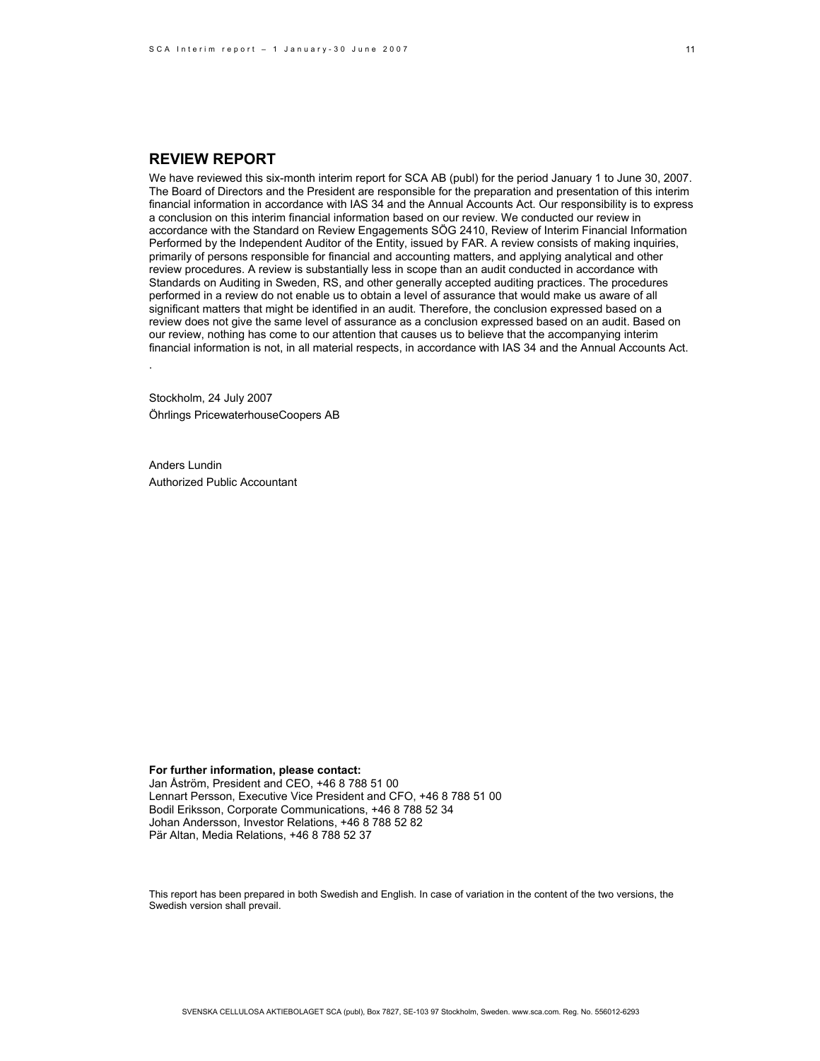### **REVIEW REPORT**

We have reviewed this six-month interim report for SCA AB (publ) for the period January 1 to June 30, 2007. The Board of Directors and the President are responsible for the preparation and presentation of this interim financial information in accordance with IAS 34 and the Annual Accounts Act. Our responsibility is to express a conclusion on this interim financial information based on our review. We conducted our review in accordance with the Standard on Review Engagements SÖG 2410, Review of Interim Financial Information Performed by the Independent Auditor of the Entity, issued by FAR. A review consists of making inquiries, primarily of persons responsible for financial and accounting matters, and applying analytical and other review procedures. A review is substantially less in scope than an audit conducted in accordance with Standards on Auditing in Sweden, RS, and other generally accepted auditing practices. The procedures performed in a review do not enable us to obtain a level of assurance that would make us aware of all significant matters that might be identified in an audit. Therefore, the conclusion expressed based on a review does not give the same level of assurance as a conclusion expressed based on an audit. Based on our review, nothing has come to our attention that causes us to believe that the accompanying interim financial information is not, in all material respects, in accordance with IAS 34 and the Annual Accounts Act.

Stockholm, 24 July 2007 Öhrlings PricewaterhouseCoopers AB

Anders Lundin Authorized Public Accountant

.

**For further information, please contact:**  Jan Åström, President and CEO, +46 8 788 51 00 Lennart Persson, Executive Vice President and CFO, +46 8 788 51 00 Bodil Eriksson, Corporate Communications, +46 8 788 52 34 Johan Andersson, Investor Relations, +46 8 788 52 82 Pär Altan, Media Relations, +46 8 788 52 37

This report has been prepared in both Swedish and English. In case of variation in the content of the two versions, the Swedish version shall prevail.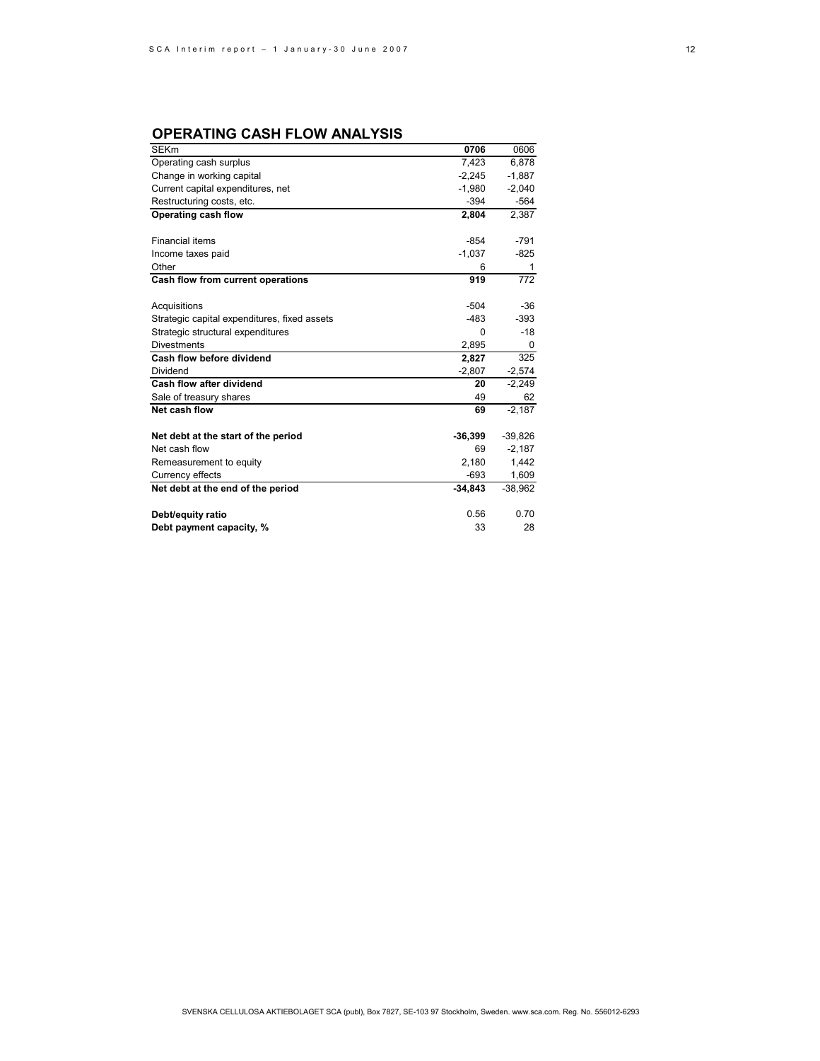# **OPERATING CASH FLOW ANALYSIS**

| <b>SEKm</b>                                  | 0706      | 0606      |
|----------------------------------------------|-----------|-----------|
| Operating cash surplus                       | 7,423     | 6,878     |
| Change in working capital                    | $-2,245$  | $-1,887$  |
| Current capital expenditures, net            | $-1.980$  | $-2,040$  |
| Restructuring costs, etc.                    | $-394$    | $-564$    |
| Operating cash flow                          | 2,804     | 2,387     |
|                                              |           |           |
| <b>Financial items</b>                       | $-854$    | $-791$    |
| Income taxes paid                            | $-1,037$  | $-825$    |
| Other                                        | 6         | 1         |
| Cash flow from current operations            | 919       | 772       |
|                                              |           |           |
| Acquisitions                                 | $-504$    | $-36$     |
| Strategic capital expenditures, fixed assets | $-483$    | $-393$    |
| Strategic structural expenditures            | $\Omega$  | $-18$     |
| <b>Divestments</b>                           | 2,895     | 0         |
| Cash flow before dividend                    | 2,827     | 325       |
| Dividend                                     | $-2,807$  | $-2,574$  |
| Cash flow after dividend                     | 20        | $-2,249$  |
| Sale of treasury shares                      | 49        | 62        |
| Net cash flow                                | 69        | $-2.187$  |
| Net debt at the start of the period          | $-36,399$ | $-39,826$ |
| Net cash flow                                | 69        | $-2,187$  |
| Remeasurement to equity                      | 2,180     | 1,442     |
| Currency effects                             | $-693$    | 1,609     |
| Net debt at the end of the period            | -34,843   | $-38,962$ |
|                                              |           |           |
| Debt/equity ratio                            | 0.56      | 0.70      |
| Debt payment capacity, %                     | 33        | 28        |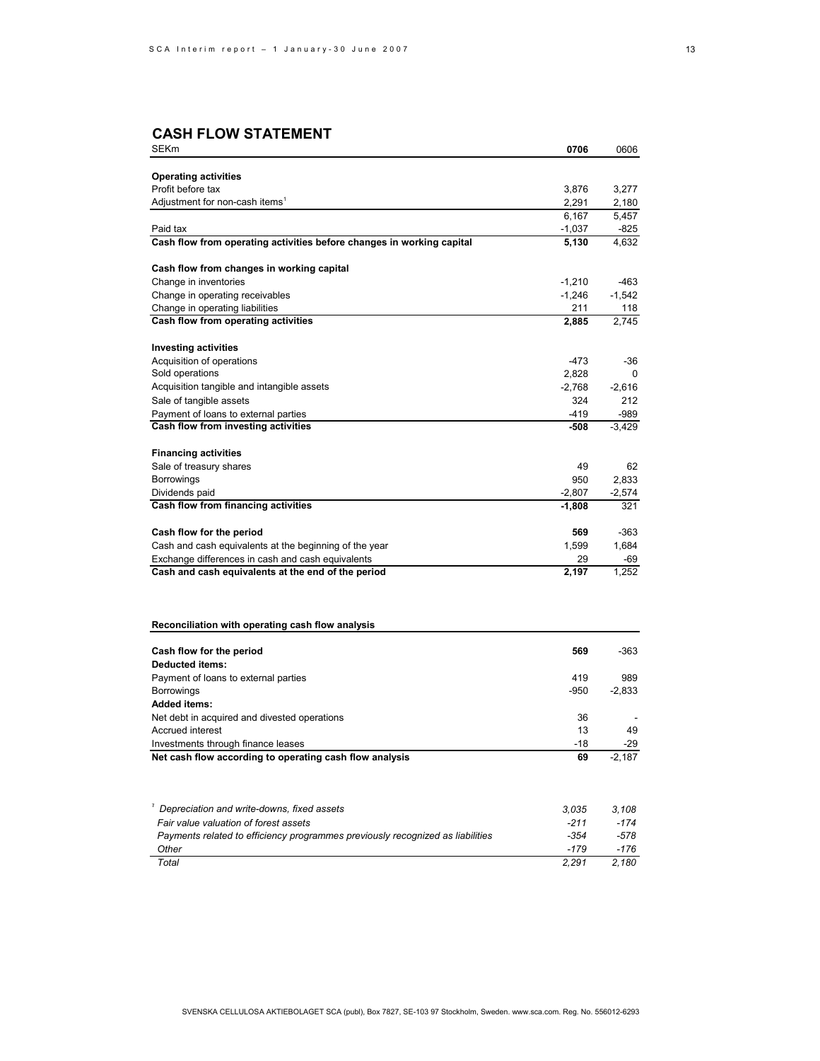# **CASH FLOW STATEMENT**

| SEKm                                                                           | 0706           | 0606           |
|--------------------------------------------------------------------------------|----------------|----------------|
|                                                                                |                |                |
| <b>Operating activities</b><br>Profit before tax                               |                |                |
| Adjustment for non-cash items <sup>1</sup>                                     | 3,876<br>2,291 | 3,277          |
|                                                                                | 6,167          | 2,180<br>5.457 |
| Paid tax                                                                       | -1,037         | -825           |
| Cash flow from operating activities before changes in working capital          | 5,130          | 4,632          |
|                                                                                |                |                |
| Cash flow from changes in working capital                                      |                |                |
| Change in inventories                                                          | $-1,210$       | -463           |
| Change in operating receivables                                                | $-1,246$       | $-1,542$       |
| Change in operating liabilities                                                | 211            | 118            |
| Cash flow from operating activities                                            | 2,885          | 2,745          |
|                                                                                |                |                |
| <b>Investing activities</b>                                                    | -473           | -36            |
| Acquisition of operations<br>Sold operations                                   | 2,828          | 0              |
| Acquisition tangible and intangible assets                                     | -2,768         | $-2,616$       |
| Sale of tangible assets                                                        | 324            | 212            |
| Payment of loans to external parties                                           | -419           | -989           |
| Cash flow from investing activities                                            | -508           | $-3,429$       |
|                                                                                |                |                |
| <b>Financing activities</b>                                                    |                |                |
| Sale of treasury shares                                                        | 49             | 62             |
| Borrowings                                                                     | 950            | 2,833          |
| Dividends paid                                                                 | $-2,807$       | $-2,574$       |
| Cash flow from financing activities                                            | $-1,808$       | 321            |
| Cash flow for the period                                                       | 569            | -363           |
| Cash and cash equivalents at the beginning of the year                         | 1,599          | 1,684          |
| Exchange differences in cash and cash equivalents                              | 29             | -69            |
| Cash and cash equivalents at the end of the period                             | 2,197          | 1,252          |
|                                                                                |                |                |
| Reconciliation with operating cash flow analysis                               |                |                |
|                                                                                |                |                |
| Cash flow for the period<br><b>Deducted items:</b>                             | 569            | -363           |
| Payment of loans to external parties                                           | 419            | 989            |
| <b>Borrowings</b>                                                              | -950           | $-2,833$       |
| <b>Added items:</b>                                                            |                |                |
| Net debt in acquired and divested operations                                   | 36             |                |
| Accrued interest                                                               | 13             | 49             |
| Investments through finance leases                                             | -18            | -29            |
| Net cash flow according to operating cash flow analysis                        | 69             | $-2,187$       |
|                                                                                |                |                |
| I<br>Depreciation and write-downs, fixed assets                                | 3,035          | 3,108          |
| Fair value valuation of forest assets                                          | $-211$         | $-174$         |
| Payments related to efficiency programmes previously recognized as liabilities | $-354$         | $-578$         |
| Other                                                                          | $-179$         | $-176$         |
| Total                                                                          | 2,291          | 2,180          |
|                                                                                |                |                |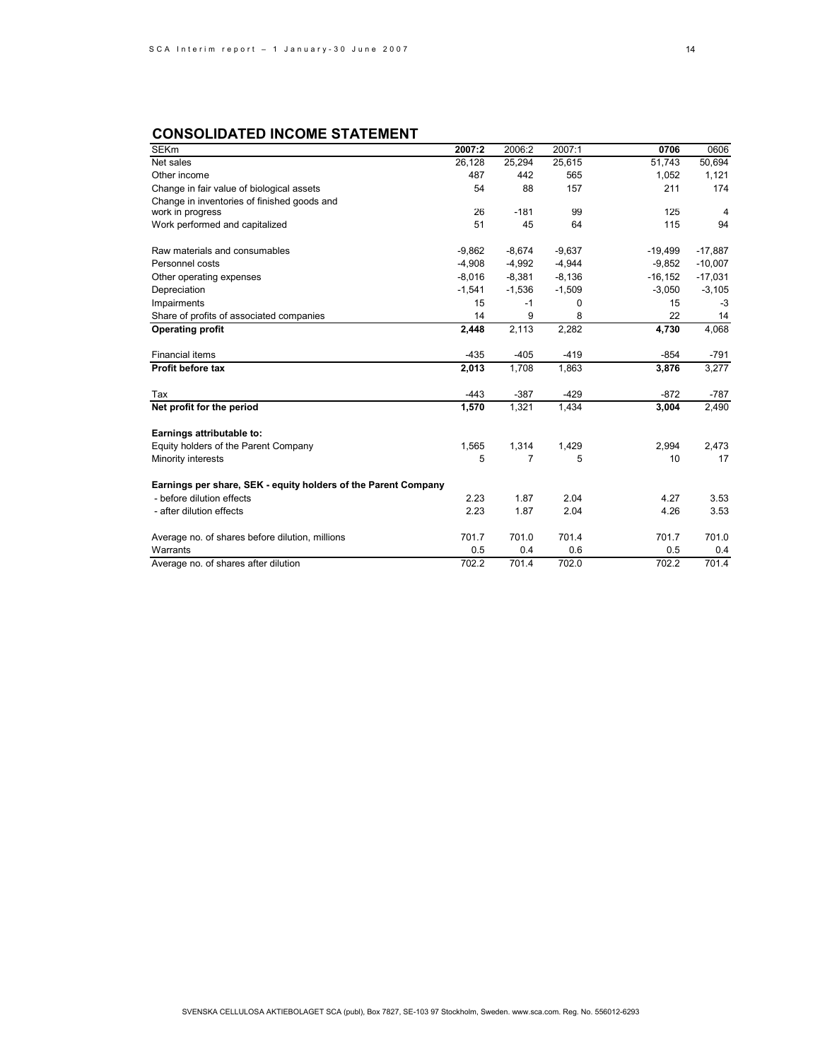# **CONSOLIDATED INCOME STATEMENT**

| <b>SEKm</b>                                                    | 2007:2   | 2006:2         | 2007:1   | 0706      | 0606      |
|----------------------------------------------------------------|----------|----------------|----------|-----------|-----------|
| Net sales                                                      | 26,128   | 25,294         | 25,615   | 51.743    | 50,694    |
| Other income                                                   | 487      | 442            | 565      | 1.052     | 1,121     |
| Change in fair value of biological assets                      | 54       | 88             | 157      | 211       | 174       |
| Change in inventories of finished goods and                    |          |                |          |           |           |
| work in progress                                               | 26       | $-181$         | 99       | 125       | 4         |
| Work performed and capitalized                                 | 51       | 45             | 64       | 115       | 94        |
| Raw materials and consumables                                  | $-9,862$ | $-8,674$       | $-9,637$ | $-19,499$ | $-17,887$ |
| Personnel costs                                                | $-4,908$ | $-4,992$       | $-4,944$ | $-9,852$  | $-10,007$ |
| Other operating expenses                                       | $-8,016$ | $-8,381$       | $-8,136$ | $-16.152$ | $-17,031$ |
| Depreciation                                                   | $-1,541$ | $-1,536$       | $-1,509$ | $-3,050$  | $-3,105$  |
| Impairments                                                    | 15       | $-1$           | 0        | 15        | $-3$      |
| Share of profits of associated companies                       | 14       | 9              | 8        | 22        | 14        |
| <b>Operating profit</b>                                        | 2,448    | 2,113          | 2,282    | 4,730     | 4,068     |
| <b>Financial items</b>                                         | $-435$   | $-405$         | $-419$   | $-854$    | $-791$    |
| Profit before tax                                              | 2,013    | 1.708          | 1,863    | 3,876     | 3,277     |
| Tax                                                            | $-443$   | $-387$         | $-429$   | $-872$    | $-787$    |
| Net profit for the period                                      | 1,570    | 1,321          | 1,434    | 3,004     | 2,490     |
| Earnings attributable to:                                      |          |                |          |           |           |
| Equity holders of the Parent Company                           | 1,565    | 1,314          | 1,429    | 2,994     | 2,473     |
| Minority interests                                             | 5        | $\overline{7}$ | 5        | 10        | 17        |
| Earnings per share, SEK - equity holders of the Parent Company |          |                |          |           |           |
| - before dilution effects                                      | 2.23     | 1.87           | 2.04     | 4.27      | 3.53      |
| - after dilution effects                                       | 2.23     | 1.87           | 2.04     | 4.26      | 3.53      |
| Average no. of shares before dilution, millions                | 701.7    | 701.0          | 701.4    | 701.7     | 701.0     |
| Warrants                                                       | 0.5      | 0.4            | 0.6      | 0.5       | 0.4       |
| Average no. of shares after dilution                           | 702.2    | 701.4          | 702.0    | 702.2     | 701.4     |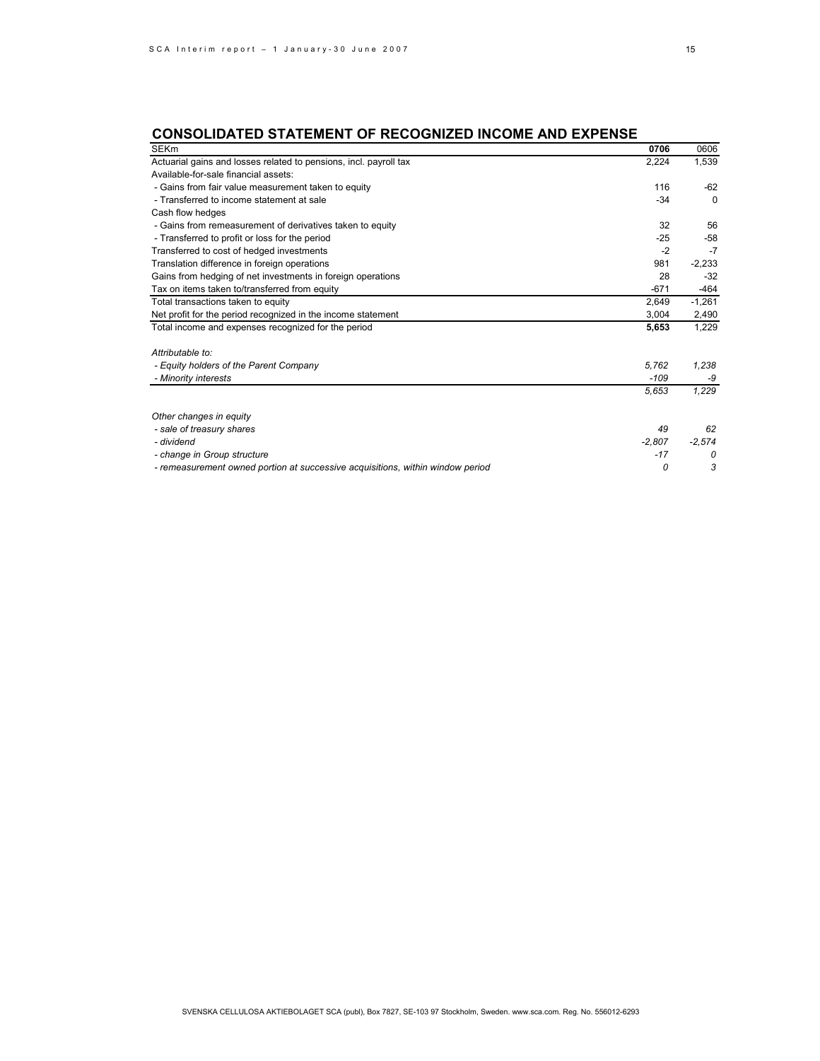# **CONSOLIDATED STATEMENT OF RECOGNIZED INCOME AND EXPENSE**

| <b>SEKm</b>                                                                    | 0706     | 0606     |
|--------------------------------------------------------------------------------|----------|----------|
| Actuarial gains and losses related to pensions, incl. payroll tax              | 2,224    | 1,539    |
| Available-for-sale financial assets:                                           |          |          |
| - Gains from fair value measurement taken to equity                            | 116      | $-62$    |
| - Transferred to income statement at sale                                      | $-34$    | $\Omega$ |
| Cash flow hedges                                                               |          |          |
| - Gains from remeasurement of derivatives taken to equity                      | 32       | 56       |
| - Transferred to profit or loss for the period                                 | $-25$    | $-58$    |
| Transferred to cost of hedged investments                                      | $-2$     | $-7$     |
| Translation difference in foreign operations                                   | 981      | $-2,233$ |
| Gains from hedging of net investments in foreign operations                    | 28       | $-32$    |
| Tax on items taken to/transferred from equity                                  | $-671$   | $-464$   |
| Total transactions taken to equity                                             | 2,649    | $-1,261$ |
| Net profit for the period recognized in the income statement                   | 3,004    | 2,490    |
| Total income and expenses recognized for the period                            | 5,653    | 1,229    |
| Attributable to:                                                               |          |          |
| - Equity holders of the Parent Company                                         | 5.762    | 1,238    |
| - Minority interests                                                           | $-109$   | -9       |
|                                                                                | 5,653    | 1,229    |
| Other changes in equity                                                        |          |          |
| - sale of treasury shares                                                      | 49       | 62       |
| - dividend                                                                     | $-2,807$ | $-2,574$ |
| - change in Group structure                                                    | $-17$    | 0        |
| - remeasurement owned portion at successive acquisitions, within window period | 0        | 3        |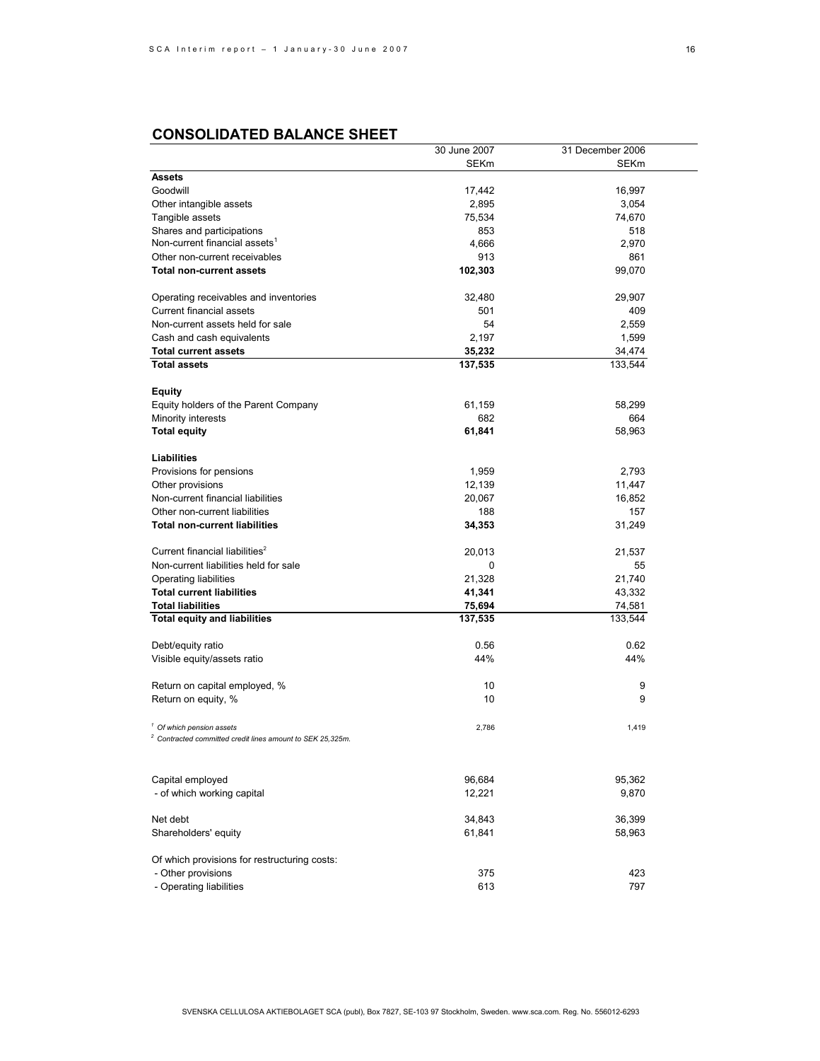# **CONSOLIDATED BALANCE SHEET**

|                                                                       | 30 June 2007     | 31 December 2006 |
|-----------------------------------------------------------------------|------------------|------------------|
|                                                                       | SEKm             | <b>SEKm</b>      |
| <b>Assets</b>                                                         |                  |                  |
| Goodwill                                                              | 17,442           | 16,997           |
| Other intangible assets                                               | 2,895            | 3,054            |
| Tangible assets                                                       | 75,534           | 74,670           |
| Shares and participations                                             | 853              | 518              |
| Non-current financial assets <sup>1</sup>                             | 4,666            | 2,970            |
| Other non-current receivables                                         | 913              | 861              |
| <b>Total non-current assets</b>                                       | 102,303          | 99,070           |
| Operating receivables and inventories                                 | 32,480           | 29,907           |
| <b>Current financial assets</b>                                       | 501              | 409              |
| Non-current assets held for sale                                      | 54               | 2,559            |
| Cash and cash equivalents                                             | 2,197            | 1,599            |
| <b>Total current assets</b>                                           | 35,232           | 34,474           |
| <b>Total assets</b>                                                   | 137,535          | 133,544          |
|                                                                       |                  |                  |
| Equity                                                                |                  |                  |
| Equity holders of the Parent Company                                  | 61,159           | 58,299           |
| Minority interests                                                    | 682              | 664              |
| <b>Total equity</b>                                                   | 61,841           | 58,963           |
|                                                                       |                  |                  |
| Liabilities                                                           |                  |                  |
| Provisions for pensions                                               | 1,959            | 2,793            |
| Other provisions                                                      | 12,139           | 11,447           |
| Non-current financial liabilities                                     | 20,067           | 16,852           |
| Other non-current liabilities                                         | 188              | 157              |
| <b>Total non-current liabilities</b>                                  | 34,353           | 31,249           |
| Current financial liabilities <sup>2</sup>                            | 20,013           | 21,537           |
| Non-current liabilities held for sale                                 | 0                | 55               |
| Operating liabilities                                                 | 21,328           | 21,740           |
| <b>Total current liabilities</b>                                      | 41,341           | 43,332           |
| <b>Total liabilities</b>                                              | 75,694           | 74,581           |
| <b>Total equity and liabilities</b>                                   | 137,535          | 133,544          |
|                                                                       |                  |                  |
| Debt/equity ratio                                                     | 0.56             | 0.62             |
| Visible equity/assets ratio                                           | 44%              | 44%              |
| Return on capital employed, %                                         | 10               | 9                |
| Return on equity, %                                                   | 10               | 9                |
|                                                                       |                  |                  |
| <sup>1</sup> Of which pension assets                                  | 2,786            | 1,419            |
| <sup>2</sup> Contracted committed credit lines amount to SEK 25,325m. |                  |                  |
|                                                                       |                  |                  |
|                                                                       |                  |                  |
| Capital employed<br>- of which working capital                        | 96,684<br>12,221 | 95,362<br>9,870  |
|                                                                       |                  |                  |
| Net debt                                                              | 34,843           | 36,399           |
| Shareholders' equity                                                  | 61,841           | 58,963           |
|                                                                       |                  |                  |
| Of which provisions for restructuring costs:                          |                  |                  |
| - Other provisions                                                    | 375              | 423              |
| - Operating liabilities                                               | 613              | 797              |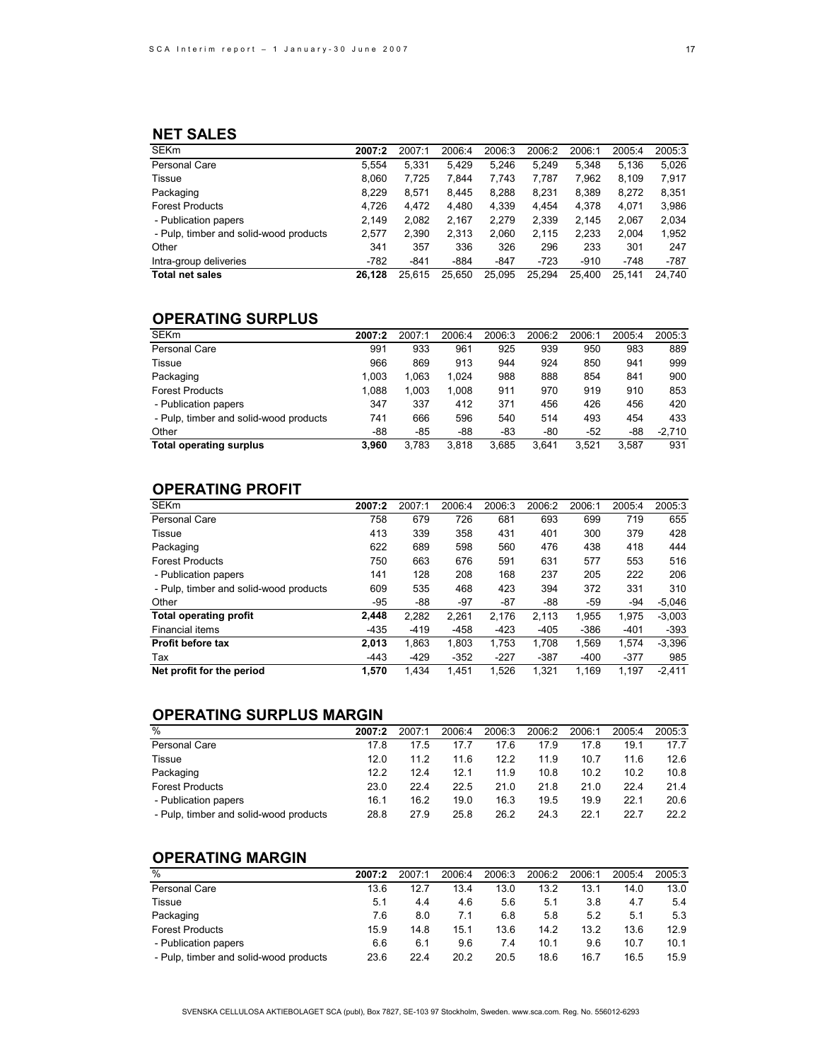# **NET SALES**

| <b>SEKm</b>                            | 2007:2 | 2007:1 | 2006:4 | 2006:3 | 2006:2 | 2006:1 | 2005:4 | 2005:3 |
|----------------------------------------|--------|--------|--------|--------|--------|--------|--------|--------|
| Personal Care                          | 5.554  | 5,331  | 5.429  | 5.246  | 5.249  | 5.348  | 5.136  | 5,026  |
| Tissue                                 | 8.060  | 7.725  | 7.844  | 7,743  | 7,787  | 7.962  | 8.109  | 7,917  |
| Packaging                              | 8.229  | 8.571  | 8.445  | 8.288  | 8.231  | 8.389  | 8.272  | 8,351  |
| <b>Forest Products</b>                 | 4,726  | 4,472  | 4,480  | 4,339  | 4.454  | 4,378  | 4,071  | 3,986  |
| - Publication papers                   | 2.149  | 2,082  | 2.167  | 2,279  | 2.339  | 2.145  | 2,067  | 2,034  |
| - Pulp, timber and solid-wood products | 2,577  | 2,390  | 2,313  | 2,060  | 2,115  | 2,233  | 2.004  | 1,952  |
| Other                                  | 341    | 357    | 336    | 326    | 296    | 233    | 301    | 247    |
| Intra-group deliveries                 | $-782$ | $-841$ | $-884$ | $-847$ | $-723$ | $-910$ | $-748$ | $-787$ |
| <b>Total net sales</b>                 | 26.128 | 25.615 | 25.650 | 25.095 | 25.294 | 25.400 | 25.141 | 24.740 |

# **OPERATING SURPLUS**

| <b>SEKm</b>                            | 2007:2 | 2007:1 | 2006:4 | 2006:3 | 2006:2 | 2006:1 | 2005:4 | 2005:3   |
|----------------------------------------|--------|--------|--------|--------|--------|--------|--------|----------|
| Personal Care                          | 991    | 933    | 961    | 925    | 939    | 950    | 983    | 889      |
| Tissue                                 | 966    | 869    | 913    | 944    | 924    | 850    | 941    | 999      |
| Packaging                              | 1.003  | 1,063  | 1.024  | 988    | 888    | 854    | 841    | 900      |
| <b>Forest Products</b>                 | 1.088  | 1,003  | 1.008  | 911    | 970    | 919    | 910    | 853      |
| - Publication papers                   | 347    | 337    | 412    | 371    | 456    | 426    | 456    | 420      |
| - Pulp, timber and solid-wood products | 741    | 666    | 596    | 540    | 514    | 493    | 454    | 433      |
| Other                                  | -88    | -85    | -88    | -83    | -80    | $-52$  | -88    | $-2.710$ |
| <b>Total operating surplus</b>         | 3.960  | 3.783  | 3.818  | 3.685  | 3.641  | 3.521  | 3.587  | 931      |

# **OPERATING PROFIT**

| <b>SEKm</b>                            | 2007:2 | 2007:1 | 2006:4 | 2006:3 | 2006:2 | 2006:1 | 2005:4 | 2005:3   |
|----------------------------------------|--------|--------|--------|--------|--------|--------|--------|----------|
| <b>Personal Care</b>                   | 758    | 679    | 726    | 681    | 693    | 699    | 719    | 655      |
| Tissue                                 | 413    | 339    | 358    | 431    | 401    | 300    | 379    | 428      |
| Packaging                              | 622    | 689    | 598    | 560    | 476    | 438    | 418    | 444      |
| <b>Forest Products</b>                 | 750    | 663    | 676    | 591    | 631    | 577    | 553    | 516      |
| - Publication papers                   | 141    | 128    | 208    | 168    | 237    | 205    | 222    | 206      |
| - Pulp, timber and solid-wood products | 609    | 535    | 468    | 423    | 394    | 372    | 331    | 310      |
| Other                                  | -95    | -88    | $-97$  | $-87$  | -88    | -59    | $-94$  | $-5.046$ |
| Total operating profit                 | 2.448  | 2,282  | 2.261  | 2.176  | 2.113  | 1.955  | 1.975  | $-3,003$ |
| Financial items                        | -435   | $-419$ | $-458$ | $-423$ | $-405$ | $-386$ | $-401$ | $-393$   |
| Profit before tax                      | 2.013  | 1,863  | 1,803  | 1,753  | 1,708  | 1,569  | 1,574  | $-3,396$ |
| Tax                                    | $-443$ | $-429$ | $-352$ | $-227$ | $-387$ | $-400$ | $-377$ | 985      |
| Net profit for the period              | 1.570  | 1,434  | 1.451  | 1.526  | 1.321  | 1.169  | 1.197  | $-2.411$ |

# **OPERATING SURPLUS MARGIN**

| $\overline{\%}$                        | 2007:2 | 2007:1 | 2006:4 | 2006:3 | 2006:2 | 2006:1 | 2005:4 | 2005:3 |
|----------------------------------------|--------|--------|--------|--------|--------|--------|--------|--------|
| Personal Care                          | 17.8   | 17.5   | 17.7   | 17.6   | 17.9   | 17.8   | 19.1   | 17.7   |
| Tissue                                 | 12.0   | 11.2   | 11.6   | 12.2   | 11.9   | 10.7   | 11.6   | 12.6   |
| Packaging                              | 12.2   | 12.4   | 12.1   | 11.9   | 10.8   | 10.2   | 10.2   | 10.8   |
| <b>Forest Products</b>                 | 23.0   | 22.4   | 22.5   | 21.0   | 21.8   | 21.0   | 22.4   | 21.4   |
| - Publication papers                   | 16.1   | 16.2   | 19.0   | 16.3   | 19.5   | 19.9   | 22.1   | 20.6   |
| - Pulp, timber and solid-wood products | 28.8   | 27.9   | 25.8   | 26.2   | 24.3   | 22.1   | 22.7   | 22.2   |

# **OPERATING MARGIN**

| $\frac{0}{0}$                          | 2007:2 | 2007:1 | 2006:4 | 2006:3 | 2006:2 | 2006:1 | 2005:4 | 2005:3 |
|----------------------------------------|--------|--------|--------|--------|--------|--------|--------|--------|
| Personal Care                          | 13.6   | 12.7   | 13.4   | 13.0   | 13.2   | 13.1   | 14.0   | 13.0   |
| <b>Tissue</b>                          | 5.1    | 4.4    | 4.6    | 5.6    | 5.1    | 3.8    | 4.7    | 5.4    |
| Packaging                              | 7.6    | 8.0    | 7.1    | 6.8    | 5.8    | 5.2    | 5.1    | 5.3    |
| <b>Forest Products</b>                 | 15.9   | 14.8   | 15.1   | 13.6   | 14.2   | 13.2   | 13.6   | 12.9   |
| - Publication papers                   | 6.6    | 6.1    | 9.6    | 7.4    | 10.1   | 9.6    | 10.7   | 10.1   |
| - Pulp, timber and solid-wood products | 23.6   | 22.4   | 20.2   | 20.5   | 18.6   | 16.7   | 16.5   | 15.9   |